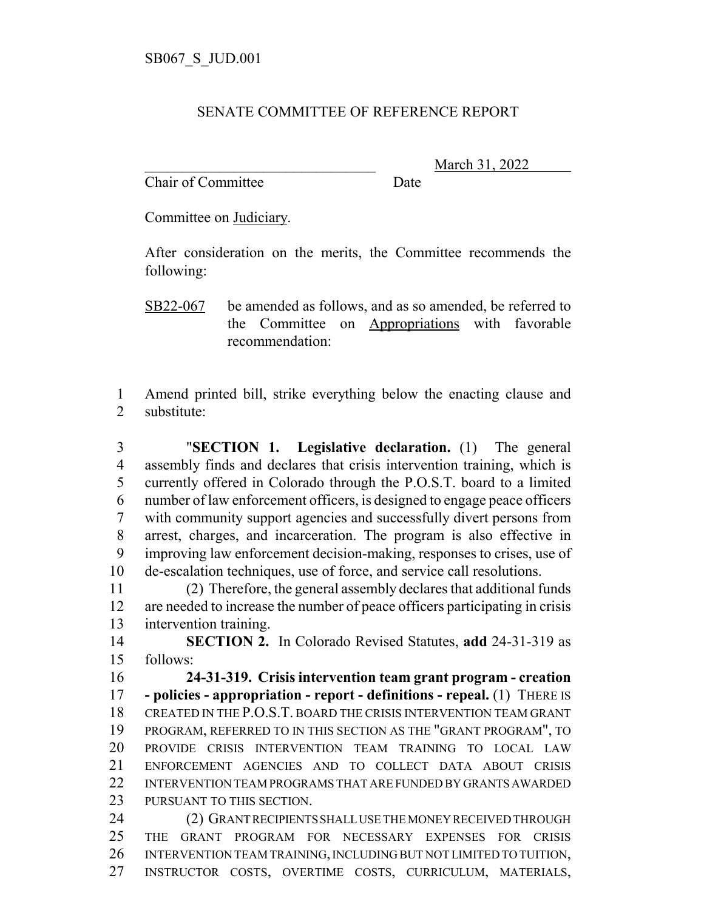## SENATE COMMITTEE OF REFERENCE REPORT

Chair of Committee Date

\_\_\_\_\_\_\_\_\_\_\_\_\_\_\_\_\_\_\_\_\_\_\_\_\_\_\_\_\_\_\_ March 31, 2022

Committee on Judiciary.

After consideration on the merits, the Committee recommends the following:

SB22-067 be amended as follows, and as so amended, be referred to the Committee on Appropriations with favorable recommendation:

 Amend printed bill, strike everything below the enacting clause and substitute:

 "**SECTION 1. Legislative declaration.** (1) The general assembly finds and declares that crisis intervention training, which is currently offered in Colorado through the P.O.S.T. board to a limited number of law enforcement officers, is designed to engage peace officers with community support agencies and successfully divert persons from arrest, charges, and incarceration. The program is also effective in improving law enforcement decision-making, responses to crises, use of de-escalation techniques, use of force, and service call resolutions.

 (2) Therefore, the general assembly declares that additional funds are needed to increase the number of peace officers participating in crisis intervention training.

 **SECTION 2.** In Colorado Revised Statutes, **add** 24-31-319 as follows:

 **24-31-319. Crisis intervention team grant program - creation - policies - appropriation - report - definitions - repeal.** (1) THERE IS CREATED IN THE P.O.S.T. BOARD THE CRISIS INTERVENTION TEAM GRANT PROGRAM, REFERRED TO IN THIS SECTION AS THE "GRANT PROGRAM", TO PROVIDE CRISIS INTERVENTION TEAM TRAINING TO LOCAL LAW ENFORCEMENT AGENCIES AND TO COLLECT DATA ABOUT CRISIS INTERVENTION TEAM PROGRAMS THAT ARE FUNDED BY GRANTS AWARDED 23 PURSUANT TO THIS SECTION.

 (2) GRANT RECIPIENTS SHALL USE THE MONEY RECEIVED THROUGH THE GRANT PROGRAM FOR NECESSARY EXPENSES FOR CRISIS INTERVENTION TEAM TRAINING, INCLUDING BUT NOT LIMITED TO TUITION, INSTRUCTOR COSTS, OVERTIME COSTS, CURRICULUM, MATERIALS,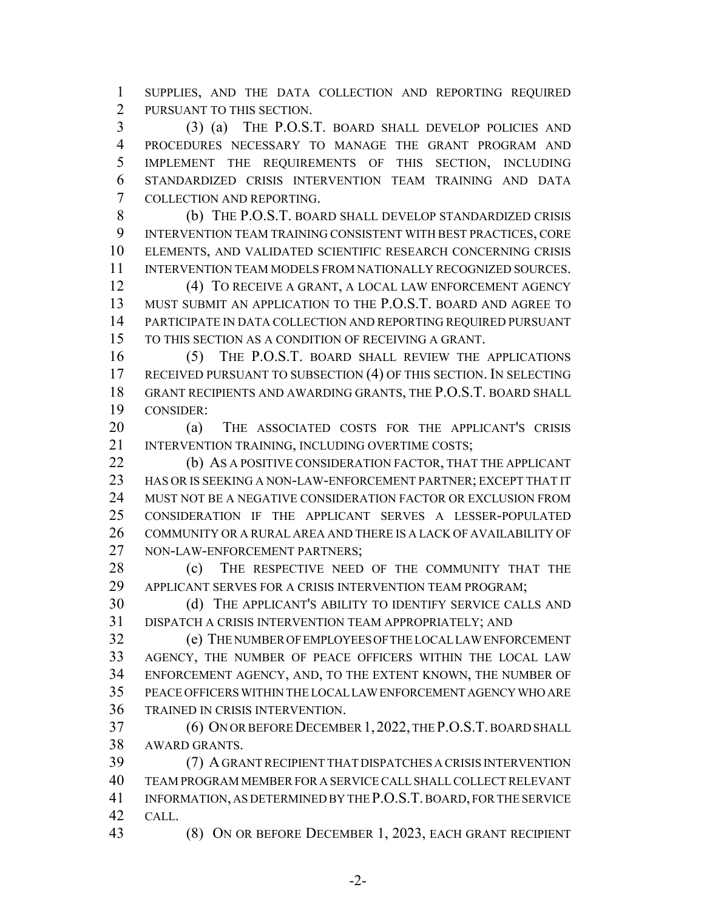SUPPLIES, AND THE DATA COLLECTION AND REPORTING REQUIRED PURSUANT TO THIS SECTION.

 (3) (a) THE P.O.S.T. BOARD SHALL DEVELOP POLICIES AND PROCEDURES NECESSARY TO MANAGE THE GRANT PROGRAM AND IMPLEMENT THE REQUIREMENTS OF THIS SECTION, INCLUDING STANDARDIZED CRISIS INTERVENTION TEAM TRAINING AND DATA COLLECTION AND REPORTING.

 (b) THE P.O.S.T. BOARD SHALL DEVELOP STANDARDIZED CRISIS INTERVENTION TEAM TRAINING CONSISTENT WITH BEST PRACTICES, CORE ELEMENTS, AND VALIDATED SCIENTIFIC RESEARCH CONCERNING CRISIS INTERVENTION TEAM MODELS FROM NATIONALLY RECOGNIZED SOURCES.

 (4) TO RECEIVE A GRANT, A LOCAL LAW ENFORCEMENT AGENCY MUST SUBMIT AN APPLICATION TO THE P.O.S.T. BOARD AND AGREE TO PARTICIPATE IN DATA COLLECTION AND REPORTING REQUIRED PURSUANT TO THIS SECTION AS A CONDITION OF RECEIVING A GRANT.

 (5) THE P.O.S.T. BOARD SHALL REVIEW THE APPLICATIONS 17 RECEIVED PURSUANT TO SUBSECTION (4) OF THIS SECTION. IN SELECTING GRANT RECIPIENTS AND AWARDING GRANTS, THE P.O.S.T. BOARD SHALL CONSIDER:

 (a) THE ASSOCIATED COSTS FOR THE APPLICANT'S CRISIS 21 INTERVENTION TRAINING, INCLUDING OVERTIME COSTS;

22 (b) AS A POSITIVE CONSIDERATION FACTOR, THAT THE APPLICANT HAS OR IS SEEKING A NON-LAW-ENFORCEMENT PARTNER; EXCEPT THAT IT MUST NOT BE A NEGATIVE CONSIDERATION FACTOR OR EXCLUSION FROM CONSIDERATION IF THE APPLICANT SERVES A LESSER-POPULATED 26 COMMUNITY OR A RURAL AREA AND THERE IS A LACK OF AVAILABILITY OF 27 NON-LAW-ENFORCEMENT PARTNERS:

28 (c) THE RESPECTIVE NEED OF THE COMMUNITY THAT THE APPLICANT SERVES FOR A CRISIS INTERVENTION TEAM PROGRAM;

 (d) THE APPLICANT'S ABILITY TO IDENTIFY SERVICE CALLS AND DISPATCH A CRISIS INTERVENTION TEAM APPROPRIATELY; AND

 (e) THE NUMBER OF EMPLOYEES OF THE LOCAL LAW ENFORCEMENT AGENCY, THE NUMBER OF PEACE OFFICERS WITHIN THE LOCAL LAW ENFORCEMENT AGENCY, AND, TO THE EXTENT KNOWN, THE NUMBER OF PEACE OFFICERS WITHIN THE LOCAL LAW ENFORCEMENT AGENCY WHO ARE TRAINED IN CRISIS INTERVENTION.

 (6) ON OR BEFORE DECEMBER 1,2022, THE P.O.S.T. BOARD SHALL AWARD GRANTS.

 (7) A GRANT RECIPIENT THAT DISPATCHES A CRISIS INTERVENTION TEAM PROGRAM MEMBER FOR A SERVICE CALL SHALL COLLECT RELEVANT INFORMATION, AS DETERMINED BY THE P.O.S.T. BOARD, FOR THE SERVICE CALL.

(8) ON OR BEFORE DECEMBER 1, 2023, EACH GRANT RECIPIENT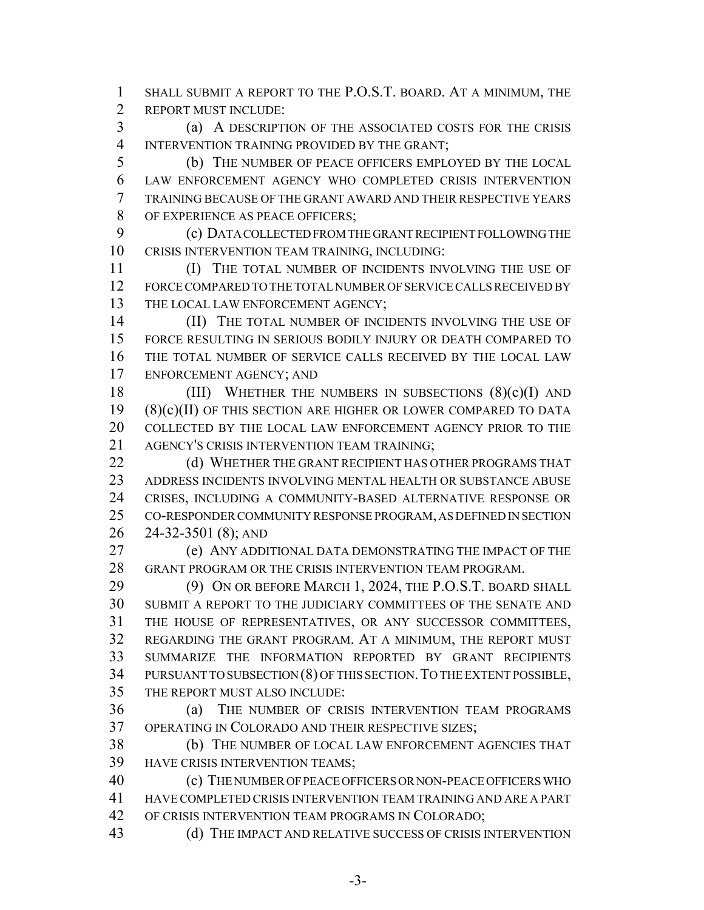SHALL SUBMIT A REPORT TO THE P.O.S.T. BOARD. AT A MINIMUM, THE REPORT MUST INCLUDE:

 (a) A DESCRIPTION OF THE ASSOCIATED COSTS FOR THE CRISIS INTERVENTION TRAINING PROVIDED BY THE GRANT;

 (b) THE NUMBER OF PEACE OFFICERS EMPLOYED BY THE LOCAL LAW ENFORCEMENT AGENCY WHO COMPLETED CRISIS INTERVENTION TRAINING BECAUSE OF THE GRANT AWARD AND THEIR RESPECTIVE YEARS OF EXPERIENCE AS PEACE OFFICERS;

 (c) DATA COLLECTED FROM THE GRANT RECIPIENT FOLLOWING THE CRISIS INTERVENTION TEAM TRAINING, INCLUDING:

 (I) THE TOTAL NUMBER OF INCIDENTS INVOLVING THE USE OF FORCE COMPARED TO THE TOTAL NUMBER OF SERVICE CALLS RECEIVED BY 13 THE LOCAL LAW ENFORCEMENT AGENCY;

**(II)** THE TOTAL NUMBER OF INCIDENTS INVOLVING THE USE OF FORCE RESULTING IN SERIOUS BODILY INJURY OR DEATH COMPARED TO THE TOTAL NUMBER OF SERVICE CALLS RECEIVED BY THE LOCAL LAW ENFORCEMENT AGENCY; AND

18 (III) WHETHER THE NUMBERS IN SUBSECTIONS  $(8)(c)(I)$  and (8)(c)(II) OF THIS SECTION ARE HIGHER OR LOWER COMPARED TO DATA COLLECTED BY THE LOCAL LAW ENFORCEMENT AGENCY PRIOR TO THE AGENCY'S CRISIS INTERVENTION TEAM TRAINING;

22 (d) WHETHER THE GRANT RECIPIENT HAS OTHER PROGRAMS THAT ADDRESS INCIDENTS INVOLVING MENTAL HEALTH OR SUBSTANCE ABUSE CRISES, INCLUDING A COMMUNITY-BASED ALTERNATIVE RESPONSE OR CO-RESPONDER COMMUNITY RESPONSE PROGRAM, AS DEFINED IN SECTION 24-32-3501 (8); AND

 (e) ANY ADDITIONAL DATA DEMONSTRATING THE IMPACT OF THE GRANT PROGRAM OR THE CRISIS INTERVENTION TEAM PROGRAM.

29 (9) ON OR BEFORE MARCH 1, 2024, THE P.O.S.T. BOARD SHALL SUBMIT A REPORT TO THE JUDICIARY COMMITTEES OF THE SENATE AND THE HOUSE OF REPRESENTATIVES, OR ANY SUCCESSOR COMMITTEES, REGARDING THE GRANT PROGRAM. AT A MINIMUM, THE REPORT MUST SUMMARIZE THE INFORMATION REPORTED BY GRANT RECIPIENTS 34 PURSUANT TO SUBSECTION (8) OF THIS SECTION. TO THE EXTENT POSSIBLE, THE REPORT MUST ALSO INCLUDE:

 (a) THE NUMBER OF CRISIS INTERVENTION TEAM PROGRAMS OPERATING IN COLORADO AND THEIR RESPECTIVE SIZES;

 (b) THE NUMBER OF LOCAL LAW ENFORCEMENT AGENCIES THAT HAVE CRISIS INTERVENTION TEAMS;

 (c) THE NUMBER OF PEACE OFFICERS OR NON-PEACE OFFICERS WHO HAVE COMPLETED CRISIS INTERVENTION TEAM TRAINING AND ARE A PART OF CRISIS INTERVENTION TEAM PROGRAMS IN COLORADO;

(d) THE IMPACT AND RELATIVE SUCCESS OF CRISIS INTERVENTION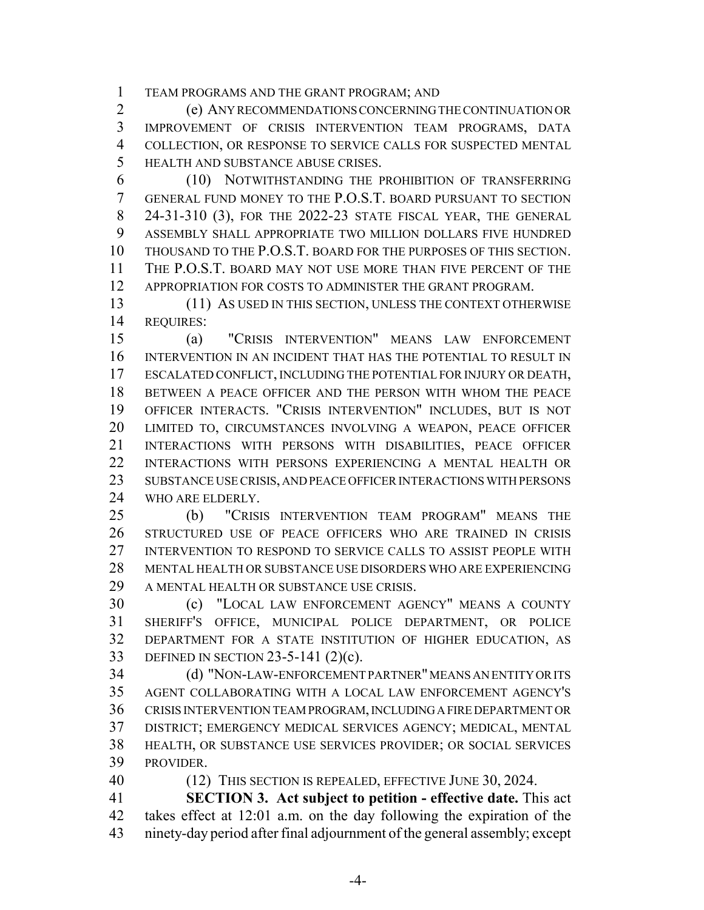TEAM PROGRAMS AND THE GRANT PROGRAM; AND

 (e) ANY RECOMMENDATIONS CONCERNING THE CONTINUATION OR IMPROVEMENT OF CRISIS INTERVENTION TEAM PROGRAMS, DATA COLLECTION, OR RESPONSE TO SERVICE CALLS FOR SUSPECTED MENTAL HEALTH AND SUBSTANCE ABUSE CRISES.

 (10) NOTWITHSTANDING THE PROHIBITION OF TRANSFERRING GENERAL FUND MONEY TO THE P.O.S.T. BOARD PURSUANT TO SECTION 24-31-310 (3), FOR THE 2022-23 STATE FISCAL YEAR, THE GENERAL ASSEMBLY SHALL APPROPRIATE TWO MILLION DOLLARS FIVE HUNDRED THOUSAND TO THE P.O.S.T. BOARD FOR THE PURPOSES OF THIS SECTION. THE P.O.S.T. BOARD MAY NOT USE MORE THAN FIVE PERCENT OF THE APPROPRIATION FOR COSTS TO ADMINISTER THE GRANT PROGRAM.

 (11) AS USED IN THIS SECTION, UNLESS THE CONTEXT OTHERWISE REQUIRES:

 (a) "CRISIS INTERVENTION" MEANS LAW ENFORCEMENT INTERVENTION IN AN INCIDENT THAT HAS THE POTENTIAL TO RESULT IN ESCALATED CONFLICT, INCLUDING THE POTENTIAL FOR INJURY OR DEATH, BETWEEN A PEACE OFFICER AND THE PERSON WITH WHOM THE PEACE OFFICER INTERACTS. "CRISIS INTERVENTION" INCLUDES, BUT IS NOT LIMITED TO, CIRCUMSTANCES INVOLVING A WEAPON, PEACE OFFICER INTERACTIONS WITH PERSONS WITH DISABILITIES, PEACE OFFICER INTERACTIONS WITH PERSONS EXPERIENCING A MENTAL HEALTH OR SUBSTANCE USE CRISIS, AND PEACE OFFICER INTERACTIONS WITH PERSONS WHO ARE ELDERLY.

 (b) "CRISIS INTERVENTION TEAM PROGRAM" MEANS THE STRUCTURED USE OF PEACE OFFICERS WHO ARE TRAINED IN CRISIS INTERVENTION TO RESPOND TO SERVICE CALLS TO ASSIST PEOPLE WITH MENTAL HEALTH OR SUBSTANCE USE DISORDERS WHO ARE EXPERIENCING A MENTAL HEALTH OR SUBSTANCE USE CRISIS.

 (c) "LOCAL LAW ENFORCEMENT AGENCY" MEANS A COUNTY SHERIFF'S OFFICE, MUNICIPAL POLICE DEPARTMENT, OR POLICE DEPARTMENT FOR A STATE INSTITUTION OF HIGHER EDUCATION, AS DEFINED IN SECTION 23-5-141 (2)(c).

 (d) "NON-LAW-ENFORCEMENT PARTNER" MEANS AN ENTITY OR ITS AGENT COLLABORATING WITH A LOCAL LAW ENFORCEMENT AGENCY'S CRISIS INTERVENTION TEAM PROGRAM, INCLUDING A FIRE DEPARTMENT OR DISTRICT; EMERGENCY MEDICAL SERVICES AGENCY; MEDICAL, MENTAL HEALTH, OR SUBSTANCE USE SERVICES PROVIDER; OR SOCIAL SERVICES PROVIDER.

40 (12) THIS SECTION IS REPEALED, EFFECTIVE JUNE 30, 2024.

 **SECTION 3. Act subject to petition - effective date.** This act takes effect at 12:01 a.m. on the day following the expiration of the ninety-day period after final adjournment of the general assembly; except